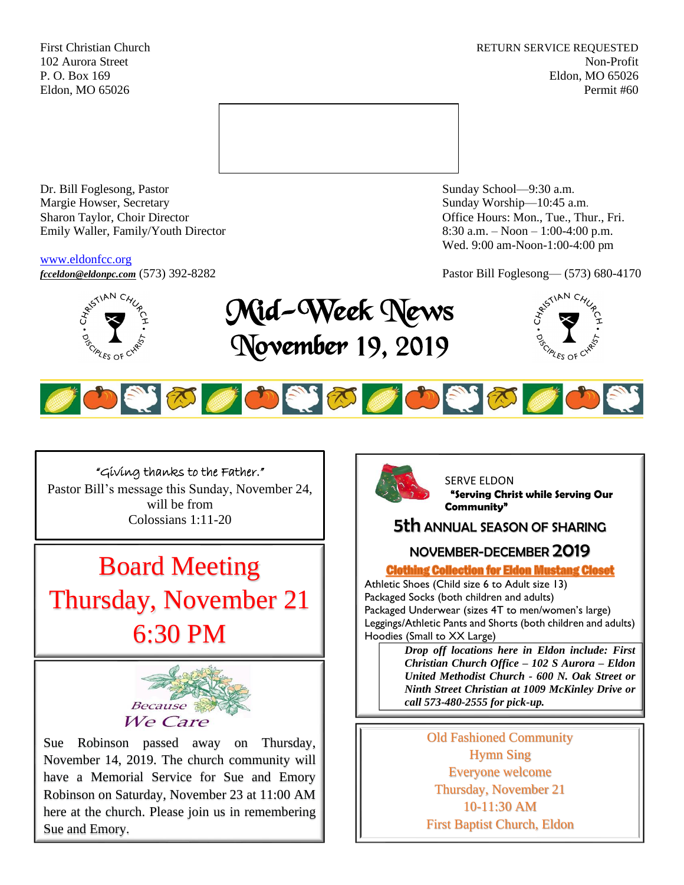First Christian Church **RETURN SERVICE REQUESTED** 102 Aurora Street Non-Profit P. O. Box 169 Eldon, MO 65026 Eldon, MO 65026 Permit #60



Dr. Bill Foglesong, Pastor Sunday School—9:30 a.m. Margie Howser, Secretary Sunday Worship—10:45 a.m. Sharon Taylor, Choir Director **Channel Controllering Controllering Controllering Controllering Controllering Controllering Controllering Controllering Controllering Controllering Controllering Controllering Controllering C** Emily Waller, Family/Youth Director 8:30 a.m. – Noon – 1:00-4:00 p.m.

#### [www.eldonfcc.org](http://www.eldonfcc.org/)

Wed. 9:00 am-Noon-1:00-4:00 pm



## *[fcceldon@eldonpc.com](mailto:fcceldon@eldonpc.com)* (573) 392-8282 Pastor Bill Foglesong— (573) 680-4170<br>  $\delta^{5^{5/14N}C_{4'_{\ell}}}_{\ell}$  **Mid-Wook No.192** Mid-Week News November 19, 2019





## "Giving thanks to the Father."

Pastor Bill's message this Sunday, November 24, will be from Colossians 1:11-20

# Board Meeting Thursday, November 21

6:30 PM



Sue Robinson passed away on Thursday, November 14, 2019. The church community will have a Memorial Service for Sue and Emory Robinson on Saturday, November 23 at 11:00 AM here at the church. Please join us in remembering Sue and Emory.



SERVE ELDON **"Serving Christ while Serving Our Community"**

## 5th ANNUAL SEASON OF SHARING

## NOVEMBER-DECEMBER 2019

**Clothing Collection for Eldon Mustang Closet** 

Athletic Shoes (Child size 6 to Adult size 13) Packaged Socks (both children and adults) Packaged Underwear (sizes 4T to men/women's large) Leggings/Athletic Pants and Shorts (both children and adults) Hoodies (Small to XX Large)

> *Drop off locations here in Eldon include: First Christian Church Office – 102 S Aurora – Eldon United Methodist Church - 600 N. Oak Street or Ninth Street Christian at 1009 McKinley Drive or call 573-480-2555 for pick-up.*

> > Old Fashioned Community Hymn Sing Everyone welcome Thursday, November 21 10-11:30 AM First Baptist Church, Eldon